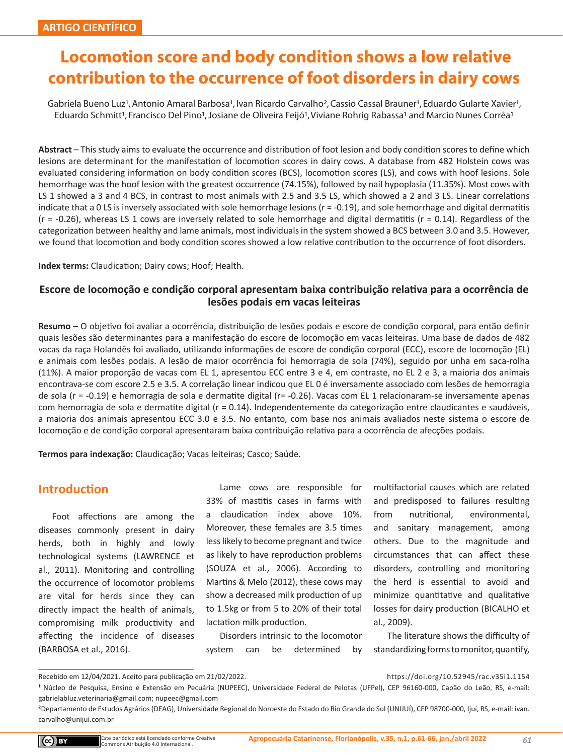# **Locomotion score and body condition shows a low relative contribution to the occurrence of foot disorders in dairy cows**

Gabriela Bueno Luz<sup>1</sup>, Antonio Amaral Barbosa<sup>1</sup>, Ivan Ricardo Carvalho<sup>2</sup>, Cassio Cassal Brauner<sup>1</sup>, Eduardo Gularte Xavier<sup>1</sup>, Eduardo Schmitt<sup>1</sup>, Francisco Del Pino<sup>1</sup>, Josiane de Oliveira Feijó<sup>1</sup>, Viviane Rohrig Rabassa<sup>1</sup> and Marcio Nunes Corrêa<sup>1</sup>

**Abstract** – This study aims to evaluate the occurrence and distribution of foot lesion and body condition scores to define which lesions are determinant for the manifestation of locomotion scores in dairy cows. A database from 482 Holstein cows was evaluated considering information on body condition scores (BCS), locomotion scores (LS), and cows with hoof lesions. Sole hemorrhage was the hoof lesion with the greatest occurrence (74.15%), followed by nail hypoplasia (11.35%). Most cows with LS 1 showed a 3 and 4 BCS, in contrast to most animals with 2.5 and 3.5 LS, which showed a 2 and 3 LS. Linear correlations indicate that a 0 LS is inversely associated with sole hemorrhage lesions ( $r = -0.19$ ), and sole hemorrhage and digital dermatitis  $(r = -0.26)$ , whereas LS 1 cows are inversely related to sole hemorrhage and digital dermatitis  $(r = 0.14)$ . Regardless of the categorization between healthy and lame animals, most individuals in the system showed a BCS between 3.0 and 3.5. However, we found that locomotion and body condition scores showed a low relative contribution to the occurrence of foot disorders.

**Index terms:** Claudication; Dairy cows; Hoof; Health.

### **Escore de locomoção e condição corporal apresentam baixa contribuição relativa para a ocorrência de lesões podais em vacas leiteiras**

**Resumo** – O objetivo foi avaliar a ocorrência, distribuição de lesões podais e escore de condição corporal, para então definir quais lesões são determinantes para a manifestação do escore de locomoção em vacas leiteiras. Uma base de dados de 482 vacas da raça Holandês foi avaliado, utilizando informações de escore de condição corporal (ECC), escore de locomoção (EL) e animais com lesões podais. A lesão de maior ocorrência foi hemorragia de sola (74%), seguido por unha em saca-rolha (11%). A maior proporção de vacas com EL 1, apresentou ECC entre 3 e 4, em contraste, no EL 2 e 3, a maioria dos animais encontrava-se com escore 2.5 e 3.5. A correlação linear indicou que EL 0 é inversamente associado com lesões de hemorragia de sola (r = -0.19) e hemorragia de sola e dermatite digital (r= -0.26). Vacas com EL 1 relacionaram-se inversamente apenas com hemorragia de sola e dermatite digital (r = 0.14). Independentemente da categorização entre claudicantes e saudáveis, a maioria dos animais apresentou ECC 3.0 e 3.5. No entanto, com base nos animais avaliados neste sistema o escore de locomoção e de condição corporal apresentaram baixa contribuição relativa para a ocorrência de afecções podais.

**Termos para indexação:** Claudicação; Vacas leiteiras; Casco; Saúde.

# **Introduction**

Foot affections are among the diseases commonly present in dairy herds, both in highly and lowly technological systems (LAWRENCE et al., 2011). Monitoring and controlling the occurrence of locomotor problems are vital for herds since they can directly impact the health of animals, compromising milk productivity and affecting the incidence of diseases (BARBOSA et al., 2016).

Lame cows are responsible for 33% of mastitis cases in farms with a claudication index above 10%. Moreover, these females are 3.5 times less likely to become pregnant and twice as likely to have reproduction problems (SOUZA et al., 2006). According to Martins & Melo (2012), these cows may show a decreased milk production of up to 1.5kg or from 5 to 20% of their total lactation milk production.

Disorders intrinsic to the locomotor system can be determined by

multifactorial causes which are related and predisposed to failures resulting from nutritional, environmental, and sanitary management, among others. Due to the magnitude and circumstances that can affect these disorders, controlling and monitoring the herd is essential to avoid and minimize quantitative and qualitative losses for dairy production (BICALHO et al., 2009).

The literature shows the difficulty of standardizing forms to monitor, quantify,

Recebido em 12/04/2021. Aceito para publicação em 21/02/2022. https://doi.org/10.52945/rac.v35i1.1154

<sup>&</sup>lt;sup>1</sup> Núcleo de Pesquisa, Ensino e Extensão em Pecuária (NUPEEC), Universidade Federal de Pelotas (UFPel), CEP 96160-000, Capão do Leão, RS, e-mail: gabrielabluz.veterinaria@gmail.com; nupeec@gmail.com

²Departamento de Estudos Agrários (DEAG), Universidade Regional do Noroeste do Estado do Rio Grande do Sul (UNIJUÍ), CEP 98700-000, Ijuí, RS, e-mail: ivan. carvalho@unijui.com.br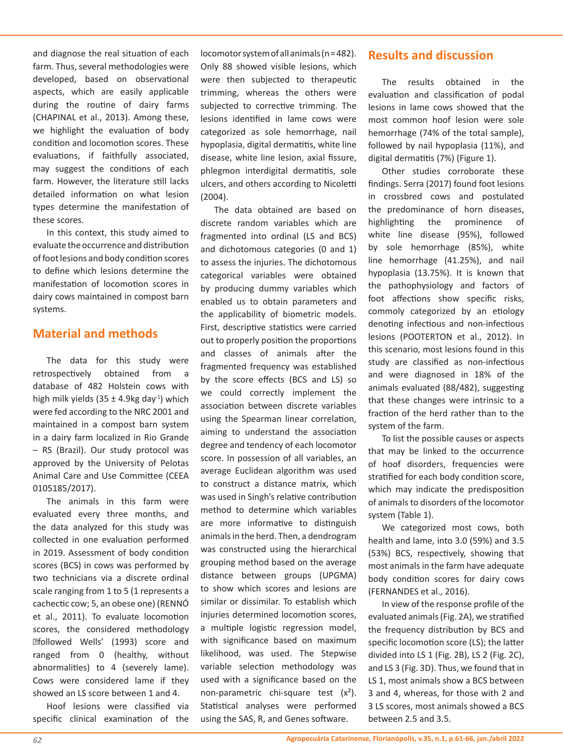and diagnose the real situation of each farm. Thus, several methodologies were developed, based on observational aspects, which are easily applicable during the routine of dairy farms (CHAPINAL et al., 2013). Among these, we highlight the evaluation of body condition and locomotion scores. These evaluations, if faithfully associated, may suggest the conditions of each farm. However, the literature still lacks detailed information on what lesion types determine the manifestation of these scores.

In this context, this study aimed to evaluate the occurrence and distribution of foot lesions and body condition scores to define which lesions determine the manifestation of locomotion scores in dairy cows maintained in compost barn systems.

# **Material and methods**

The data for this study were retrospectively obtained from a database of 482 Holstein cows with high milk yields (35  $\pm$  4.9kg day<sup>-1</sup>) which were fed according to the NRC 2001 and maintained in a compost barn system in a dairy farm localized in Rio Grande – RS (Brazil). Our study protocol was approved by the University of Pelotas Animal Care and Use Committee (CEEA 0105185/2017).

The animals in this farm were evaluated every three months, and the data analyzed for this study was collected in one evaluation performed in 2019. Assessment of body condition scores (BCS) in cows was performed by two technicians via a discrete ordinal scale ranging from 1 to 5 (1 represents a cachectic cow; 5, an obese one) (RENNÓ et al., 2011). To evaluate locomotion scores, the considered methodology �followed Wells' (1993) score and ranged from 0 (healthy, without abnormalities) to 4 (severely lame). Cows were considered lame if they showed an LS score between 1 and 4.

Hoof lesions were classified via specific clinical examination of the locomotor system of all animals (n = 482). Only 88 showed visible lesions, which were then subjected to therapeutic trimming, whereas the others were subjected to corrective trimming. The lesions identified in lame cows were categorized as sole hemorrhage, nail hypoplasia, digital dermatitis, white line disease, white line lesion, axial fissure, phlegmon interdigital dermatitis, sole ulcers, and others according to Nicoletti (2004).

The data obtained are based on discrete random variables which are fragmented into ordinal (LS and BCS) and dichotomous categories (0 and 1) to assess the injuries. The dichotomous categorical variables were obtained by producing dummy variables which enabled us to obtain parameters and the applicability of biometric models. First, descriptive statistics were carried out to properly position the proportions and classes of animals after the fragmented frequency was established by the score effects (BCS and LS) so we could correctly implement the association between discrete variables using the Spearman linear correlation, aiming to understand the association degree and tendency of each locomotor score. In possession of all variables, an average Euclidean algorithm was used to construct a distance matrix, which was used in Singh's relative contribution method to determine which variables are more informative to distinguish animals in the herd. Then, a dendrogram was constructed using the hierarchical grouping method based on the average distance between groups (UPGMA) to show which scores and lesions are similar or dissimilar. To establish which injuries determined locomotion scores. a multiple logistic regression model, with significance based on maximum likelihood, was used. The Stepwise variable selection methodology was used with a significance based on the non-parametric chi-square test  $(x^2)$ . Statistical analyses were performed using the SAS, R, and Genes software.

# **Results and discussion**

The results obtained in the evaluation and classification of podal lesions in lame cows showed that the most common hoof lesion were sole hemorrhage (74% of the total sample), followed by nail hypoplasia (11%), and digital dermatitis (7%) (Figure 1).

Other studies corroborate these findings. Serra (2017) found foot lesions in crossbred cows and postulated the predominance of horn diseases, highlighting the prominence of white line disease (95%), followed by sole hemorrhage (85%), white line hemorrhage (41.25%), and nail hypoplasia (13.75%). It is known that the pathophysiology and factors of foot affections show specific risks, commoly categorized by an etiology denoting infectious and non-infectious lesions (POOTERTON et al., 2012). In this scenario, most lesions found in this study are classified as non-infectious and were diagnosed in 18% of the animals evaluated (88/482), suggesting that these changes were intrinsic to a fraction of the herd rather than to the system of the farm.

To list the possible causes or aspects that may be linked to the occurrence of hoof disorders, frequencies were stratified for each body condition score, which may indicate the predisposition of animals to disorders of the locomotor system (Table 1).

We categorized most cows, both health and lame, into 3.0 (59%) and 3.5 (53%) BCS, respectively, showing that most animals in the farm have adequate body condition scores for dairy cows (FERNANDES et al., 2016).

In view of the response profile of the evaluated animals (Fig. 2A), we stratified the frequency distribution by BCS and specific locomotion score (LS); the latter divided into LS 1 (Fig. 2B), LS 2 (Fig. 2C), and LS 3 (Fig. 3D). Thus, we found that in LS 1, most animals show a BCS between 3 and 4, whereas, for those with 2 and 3 LS scores, most animals showed a BCS between 2.5 and 3.5.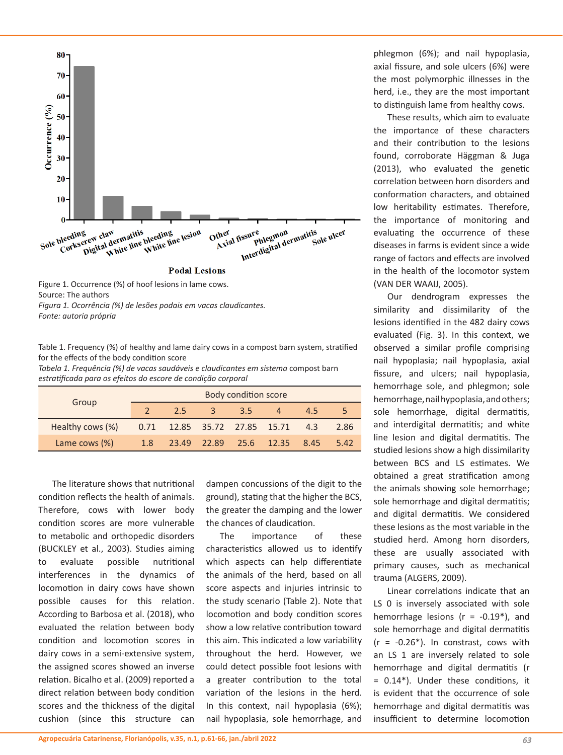

Figure 1. Occurrence (%) of hoof lesions in lame cows. Source: The authors *Figura 1. Ocorrência (%) de lesões podais em vacas claudicantes. Fonte: autoria própria*

Table 1. Frequency (%) of healthy and lame dairy cows in a compost barn system, stratified for the effects of the body condition score

*Tabela 1. Frequência (%) de vacas saudáveis e claudicantes em sistema* compost barn *estratificada para os efeitos do escore de condição corporal*

|                  | Body condition score |                              |              |     |                                 |     |      |
|------------------|----------------------|------------------------------|--------------|-----|---------------------------------|-----|------|
| Group            |                      | 2.5                          | $\mathbf{3}$ | 3.5 |                                 | 4.5 |      |
| Healthy cows (%) |                      | 0.71 12.85 35.72 27.85 15.71 |              |     |                                 | 4.3 | 2.86 |
| Lame cows (%)    |                      |                              |              |     | 1.8 23.49 22.89 25.6 12.35 8.45 |     | 5.42 |

The literature shows that nutritional condition reflects the health of animals. Therefore, cows with lower body condition scores are more vulnerable to metabolic and orthopedic disorders (BUCKLEY et al., 2003). Studies aiming to evaluate possible nutritional interferences in the dynamics of locomotion in dairy cows have shown possible causes for this relation. According to Barbosa et al. (2018), who evaluated the relation between body condition and locomotion scores in dairy cows in a semi-extensive system, the assigned scores showed an inverse relation. Bicalho et al. (2009) reported a direct relation between body condition scores and the thickness of the digital cushion (since this structure can dampen concussions of the digit to the ground), stating that the higher the BCS, the greater the damping and the lower the chances of claudication.

The importance of these characteristics allowed us to identify which aspects can help differentiate the animals of the herd, based on all score aspects and injuries intrinsic to the study scenario (Table 2). Note that locomotion and body condition scores show a low relative contribution toward this aim. This indicated a low variability throughout the herd. However, we could detect possible foot lesions with a greater contribution to the total variation of the lesions in the herd. In this context, nail hypoplasia (6%); nail hypoplasia, sole hemorrhage, and

phlegmon (6%); and nail hypoplasia, axial fissure, and sole ulcers (6%) were the most polymorphic illnesses in the herd, i.e., they are the most important to distinguish lame from healthy cows.

These results, which aim to evaluate the importance of these characters and their contribution to the lesions found, corroborate Häggman & Juga (2013), who evaluated the genetic correlation between horn disorders and conformation characters, and obtained low heritability estimates. Therefore, the importance of monitoring and evaluating the occurrence of these diseases in farms is evident since a wide range of factors and effects are involved in the health of the locomotor system (VAN DER WAAIJ, 2005).

Our dendrogram expresses the similarity and dissimilarity of the lesions identified in the 482 dairy cows evaluated (Fig. 3). In this context, we observed a similar profile comprising nail hypoplasia; nail hypoplasia, axial fissure, and ulcers; nail hypoplasia, hemorrhage sole, and phlegmon; sole hemorrhage, nail hypoplasia, and others; sole hemorrhage, digital dermatitis, and interdigital dermatitis; and white line lesion and digital dermatitis. The studied lesions show a high dissimilarity between BCS and LS estimates. We obtained a great stratification among the animals showing sole hemorrhage; sole hemorrhage and digital dermatitis; and digital dermatitis. We considered these lesions as the most variable in the studied herd. Among horn disorders, these are usually associated with primary causes, such as mechanical trauma (ALGERS, 2009).

Linear correlations indicate that an LS 0 is inversely associated with sole hemorrhage lesions ( $r = -0.19$ <sup>\*</sup>), and sole hemorrhage and digital dermatitis  $(r = -0.26^*)$ . In constrast, cows with an LS 1 are inversely related to sole hemorrhage and digital dermatitis (r = 0.14\*). Under these conditions, it is evident that the occurrence of sole hemorrhage and digital dermatitis was insufficient to determine locomotion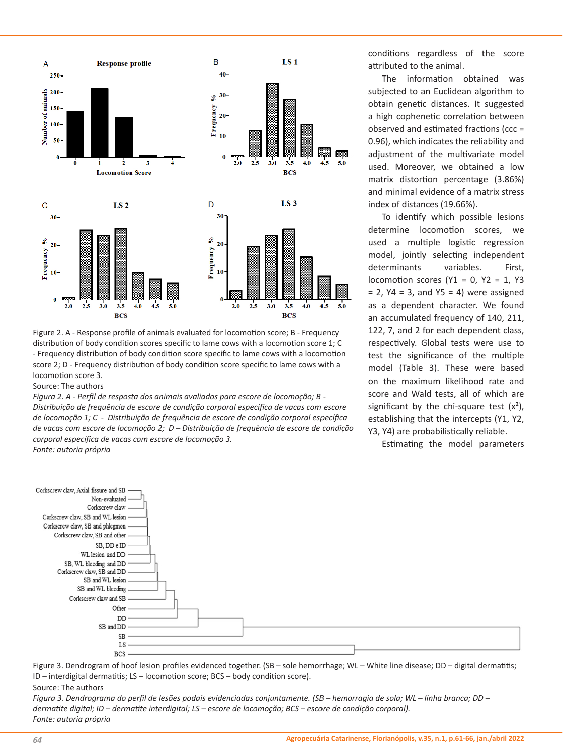

Figure 2. A - Response profile of animals evaluated for locomotion score; B - Frequency distribution of body condition scores specific to lame cows with a locomotion score 1; C - Frequency distribution of body condition score specific to lame cows with a locomotion score 2; D - Frequency distribution of body condition score specific to lame cows with a locomotion score 3.

Source: The authors

*Figura 2. A - Perfil de resposta dos animais avaliados para escore de locomoção; B - Distribuição de frequência de escore de condição corporal específica de vacas com escore de locomoção 1; C - Distribuição de frequência de escore de condição corporal específica de vacas com escore de locomoção 2; D – Distribuição de frequência de escore de condição corporal específica de vacas com escore de locomoção 3. Fonte: autoria própria*

conditions regardless of the score attributed to the animal.

The information obtained was subjected to an Euclidean algorithm to obtain genetic distances. It suggested a high cophenetic correlation between observed and estimated fractions (ccc = 0.96), which indicates the reliability and adjustment of the multivariate model used. Moreover, we obtained a low matrix distortion percentage (3.86%) and minimal evidence of a matrix stress index of distances (19.66%).

To identify which possible lesions determine locomotion scores, we used a multiple logistic regression model, jointly selecting independent determinants variables. First, locomotion scores (Y1 = 0, Y2 = 1, Y3  $= 2$ , Y4 = 3, and Y5 = 4) were assigned as a dependent character. We found an accumulated frequency of 140, 211, 122, 7, and 2 for each dependent class, respectively. Global tests were use to test the significance of the multiple model (Table 3). These were based on the maximum likelihood rate and score and Wald tests, all of which are significant by the chi-square test  $(x^2)$ , establishing that the intercepts (Y1, Y2, Y3, Y4) are probabilistically reliable.

Estimating the model parameters



Figure 3. Dendrogram of hoof lesion profiles evidenced together. (SB – sole hemorrhage; WL – White line disease; DD – digital dermatitis; ID – interdigital dermatitis; LS – locomotion score; BCS – body condition score).

#### Source: The authors

*Figura 3. Dendrograma do perfil de lesões podais evidenciadas conjuntamente. (SB – hemorragia de sola; WL – linha branca; DD – dermatite digital; ID – dermatite interdigital; LS – escore de locomoção; BCS – escore de condição corporal). Fonte: autoria própria*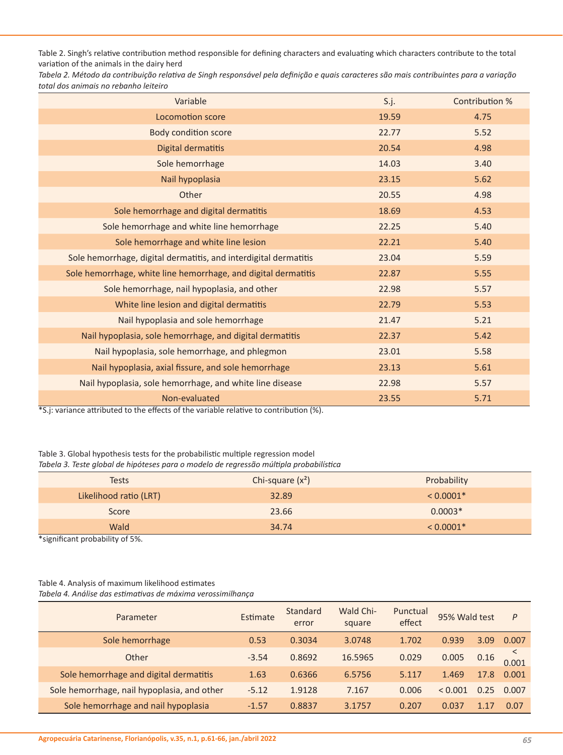Table 2. Singh's relative contribution method responsible for defining characters and evaluating which characters contribute to the total variation of the animals in the dairy herd

*Tabela 2. Método da contribuição relativa de Singh responsável pela definição e quais caracteres são mais contribuintes para a variação total dos animais no rebanho leiteiro*

| Variable                                                         | S.j.  | Contribution % |
|------------------------------------------------------------------|-------|----------------|
| Locomotion score                                                 | 19.59 | 4.75           |
| <b>Body condition score</b>                                      | 22.77 | 5.52           |
| Digital dermatitis                                               | 20.54 | 4.98           |
| Sole hemorrhage                                                  | 14.03 | 3.40           |
| Nail hypoplasia                                                  | 23.15 | 5.62           |
| Other                                                            | 20.55 | 4.98           |
| Sole hemorrhage and digital dermatitis                           | 18.69 | 4.53           |
| Sole hemorrhage and white line hemorrhage                        | 22.25 | 5.40           |
| Sole hemorrhage and white line lesion                            | 22.21 | 5.40           |
| Sole hemorrhage, digital dermatitis, and interdigital dermatitis | 23.04 | 5.59           |
| Sole hemorrhage, white line hemorrhage, and digital dermatitis   | 22.87 | 5.55           |
| Sole hemorrhage, nail hypoplasia, and other                      | 22.98 | 5.57           |
| White line lesion and digital dermatitis                         | 22.79 | 5.53           |
| Nail hypoplasia and sole hemorrhage                              | 21.47 | 5.21           |
| Nail hypoplasia, sole hemorrhage, and digital dermatitis         | 22.37 | 5.42           |
| Nail hypoplasia, sole hemorrhage, and phlegmon                   | 23.01 | 5.58           |
| Nail hypoplasia, axial fissure, and sole hemorrhage              | 23.13 | 5.61           |
| Nail hypoplasia, sole hemorrhage, and white line disease         | 22.98 | 5.57           |
| Non-evaluated                                                    | 23.55 | 5.71           |

\*S.j: variance attributed to the effects of the variable relative to contribution (%).

# Table 3. Global hypothesis tests for the probabilistic multiple regression model

*Tabela 3. Teste global de hipóteses para o modelo de regressão múltipla probabilística*

| <b>Tests</b>           | Chi-square $(x^2)$ | Probability |
|------------------------|--------------------|-------------|
| Likelihood ratio (LRT) | 32.89              | $< 0.0001*$ |
| Score                  | 23.66              | $0.0003*$   |
| Wald                   | 34.74              | $< 0.0001*$ |

\*significant probability of 5%.

### Table 4. Analysis of maximum likelihood estimates

*Tabela 4. Análise das estimativas de máxima verossimilhança*

| Parameter                                   | Estimate | Standard<br>error | Wald Chi-<br>square | Punctual<br>effect | 95% Wald test |      | P     |
|---------------------------------------------|----------|-------------------|---------------------|--------------------|---------------|------|-------|
| Sole hemorrhage                             | 0.53     | 0.3034            | 3.0748              | 1.702              | 0.939         | 3.09 | 0.007 |
| Other                                       | $-3.54$  | 0.8692            | 16.5965             | 0.029              | 0.005         | 0.16 | 0.001 |
| Sole hemorrhage and digital dermatitis      | 1.63     | 0.6366            | 6.5756              | 5.117              | 1.469         | 17.8 | 0.001 |
| Sole hemorrhage, nail hypoplasia, and other | $-5.12$  | 1.9128            | 7.167               | 0.006              | < 0.001       | 0.25 | 0.007 |
| Sole hemorrhage and nail hypoplasia         | $-1.57$  | 0.8837            | 3.1757              | 0.207              | 0.037         |      | 0.07  |